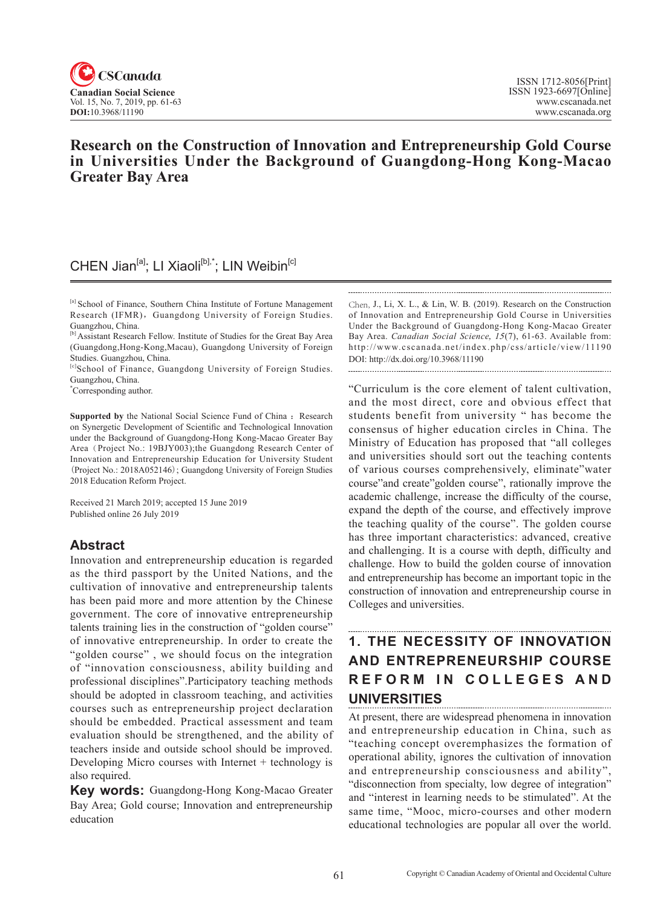

# **Research on the Construction of Innovation and Entrepreneurship Gold Course**  in Universities Under the Background of Guangdong-Hong Kong-Macao **Greater Bay Area**

# CHEN Jian<sup>[a]</sup>; LI Xiaoli<sup>[b],\*</sup>; LIN Weibin<sup>[c]</sup>

[c]School of Finance, Guangdong University of Foreign Studies. Guangzhou, China.

\* Corresponding author.

**Supported by** the National Social Science Fund of China : Research on Synergetic Development of Scientific and Technological Innovation under the Background of Guangdong-Hong Kong-Macao Greater Bay Area (Project No.: 19BJY003);the Guangdong Research Center of Innovation and Entrepreneurship Education for University Student (Project No.: 2018A052146); Guangdong University of Foreign Studies 2018 Education Reform Project.

Received 21 March 2019; accepted 15 June 2019 Published online 26 July 2019

## **Abstract**

Innovation and entrepreneurship education is regarded as the third passport by the United Nations, and the cultivation of innovative and entrepreneurship talents has been paid more and more attention by the Chinese government. The core of innovative entrepreneurship talents training lies in the construction of "golden course" of innovative entrepreneurship. In order to create the "golden course" , we should focus on the integration of "innovation consciousness, ability building and professional disciplines".Participatory teaching methods should be adopted in classroom teaching, and activities courses such as entrepreneurship project declaration should be embedded. Practical assessment and team evaluation should be strengthened, and the ability of teachers inside and outside school should be improved. Developing Micro courses with Internet + technology is also required.

**Key words:** Guangdong-Hong Kong-Macao Greater Bay Area; Gold course; Innovation and entrepreneurship education

Chen, J., Li, X. L., & Lin, W. B. (2019). Research on the Construction of Innovation and Entrepreneurship Gold Course in Universities Under the Background of Guangdong-Hong Kong-Macao Greater Bay Area. *Canadian Social Science*, <sup>15</sup>(7), 61-63. Available from: http://www.cscanada.net/index.php/css/article/view/11190 DOI: http://dx.doi.org/10.3968/11190

"Curriculum is the core element of talent cultivation, and the most direct, core and obvious effect that students benefit from university " has become the consensus of higher education circles in China. The Ministry of Education has proposed that "all colleges and universities should sort out the teaching contents of various courses comprehensively, eliminate"water course"and create"golden course", rationally improve the academic challenge, increase the difficulty of the course, expand the depth of the course, and effectively improve the teaching quality of the course". The golden course has three important characteristics: advanced, creative and challenging. It is a course with depth, difficulty and challenge. How to build the golden course of innovation and entrepreneurship has become an important topic in the construction of innovation and entrepreneurship course in Colleges and universities.

# **1. THE NECESSITY OF INNOVATION AND ENTREPRENEURSHIP COURSE REFORM IN COLLEGES AND UNIVERSITIES**

At present, there are widespread phenomena in innovation and entrepreneurship education in China, such as "teaching concept overemphasizes the formation of operational ability, ignores the cultivation of innovation and entrepreneurship consciousness and ability", "disconnection from specialty, low degree of integration" and "interest in learning needs to be stimulated". At the same time, "Mooc, micro-courses and other modern educational technologies are popular all over the world.

<sup>[</sup>a] School of Finance, Southern China Institute of Fortune Management Research (IFMR), Guangdong University of Foreign Studies. Guangzhou, China.

<sup>[</sup>b] Assistant Research Fellow. Institute of Studies for the Great Bay Area (Guangdong,Hong-Kong,Macau), Guangdong University of Foreign Studies. Guangzhou, China.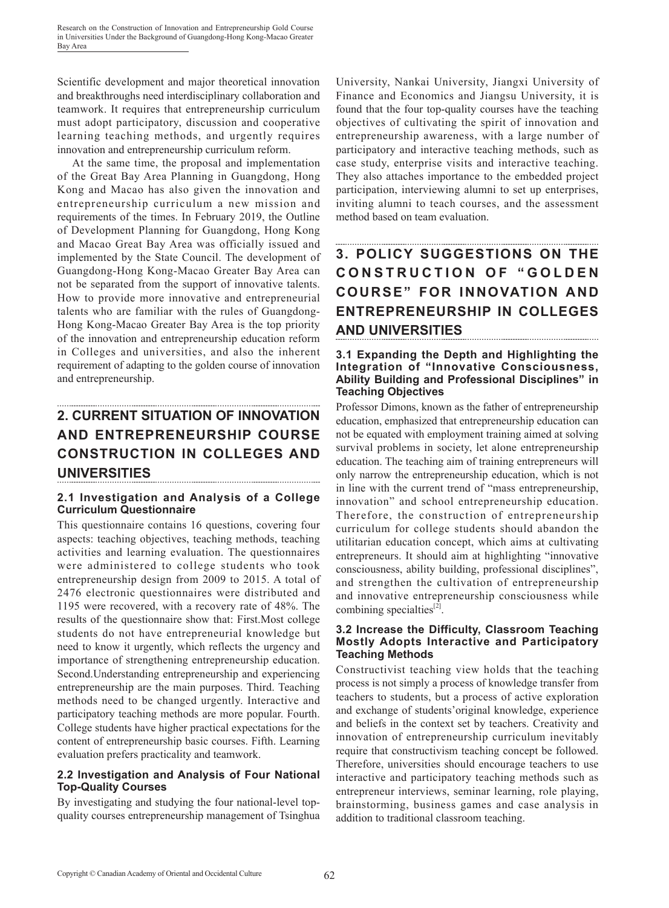Scientific development and major theoretical innovation and breakthroughs need interdisciplinary collaboration and teamwork. It requires that entrepreneurship curriculum must adopt participatory, discussion and cooperative learning teaching methods, and urgently requires innovation and entrepreneurship curriculum reform.

At the same time, the proposal and implementation of the Great Bay Area Planning in Guangdong, Hong Kong and Macao has also given the innovation and entrepreneurship curriculum a new mission and requirements of the times. In February 2019, the Outline of Development Planning for Guangdong, Hong Kong and Macao Great Bay Area was officially issued and implemented by the State Council. The development of Guangdong-Hong Kong-Macao Greater Bay Area can not be separated from the support of innovative talents. How to provide more innovative and entrepreneurial talents who are familiar with the rules of Guangdong-Hong Kong-Macao Greater Bay Area is the top priority of the innovation and entrepreneurship education reform in Colleges and universities, and also the inherent requirement of adapting to the golden course of innovation and entrepreneurship.

## **2. CURRENT SITUATION OF INNOVATION AND ENTREPRENEURSHIP COURSE CONSTRUCTION IN COLLEGES AND UNIVERSITIES**

## **2.1 Investigation and Analysis of a College Curriculum Questionnaire**

This questionnaire contains 16 questions, covering four aspects: teaching objectives, teaching methods, teaching activities and learning evaluation. The questionnaires were administered to college students who took entrepreneurship design from 2009 to 2015. A total of 2476 electronic questionnaires were distributed and 1195 were recovered, with a recovery rate of 48%. The results of the questionnaire show that: First.Most college students do not have entrepreneurial knowledge but need to know it urgently, which reflects the urgency and importance of strengthening entrepreneurship education. Second.Understanding entrepreneurship and experiencing entrepreneurship are the main purposes. Third. Teaching methods need to be changed urgently. Interactive and participatory teaching methods are more popular. Fourth. College students have higher practical expectations for the content of entrepreneurship basic courses. Fifth. Learning evaluation prefers practicality and teamwork.

## **2.2 Investigation and Analysis of Four National Top-Quality Courses**

By investigating and studying the four national-level topquality courses entrepreneurship management of Tsinghua University, Nankai University, Jiangxi University of Finance and Economics and Jiangsu University, it is found that the four top-quality courses have the teaching objectives of cultivating the spirit of innovation and entrepreneurship awareness, with a large number of participatory and interactive teaching methods, such as case study, enterprise visits and interactive teaching. They also attaches importance to the embedded project participation, interviewing alumni to set up enterprises, inviting alumni to teach courses, and the assessment method based on team evaluation.

# **3. POLICY SUGGESTIONS ON THE CONSTRUCTION OF "GOLDEN COURSE" FOR INNOVATION AND ENTREPRENEURSHIP IN COLLEGES AND UNIVERSITIES**

#### **3.1 Expanding the Depth and Highlighting the Integration of "Innovative Consciousness, Ability Building and Professional Disciplines" in Teaching Objectives**

Professor Dimons, known as the father of entrepreneurship education, emphasized that entrepreneurship education can not be equated with employment training aimed at solving survival problems in society, let alone entrepreneurship education. The teaching aim of training entrepreneurs will only narrow the entrepreneurship education, which is not in line with the current trend of "mass entrepreneurship, innovation" and school entrepreneurship education. Therefore, the construction of entrepreneurship curriculum for college students should abandon the utilitarian education concept, which aims at cultivating entrepreneurs. It should aim at highlighting "innovative consciousness, ability building, professional disciplines", and strengthen the cultivation of entrepreneurship and innovative entrepreneurship consciousness while combining specialties $^{[2]}$ .

#### **3.2 Increase the Difficulty, Classroom Teaching Mostly Adopts Interactive and Participatory Teaching Methods**

Constructivist teaching view holds that the teaching process is not simply a process of knowledge transfer from teachers to students, but a process of active exploration and exchange of students'original knowledge, experience and beliefs in the context set by teachers. Creativity and innovation of entrepreneurship curriculum inevitably require that constructivism teaching concept be followed. Therefore, universities should encourage teachers to use interactive and participatory teaching methods such as entrepreneur interviews, seminar learning, role playing, brainstorming, business games and case analysis in addition to traditional classroom teaching.